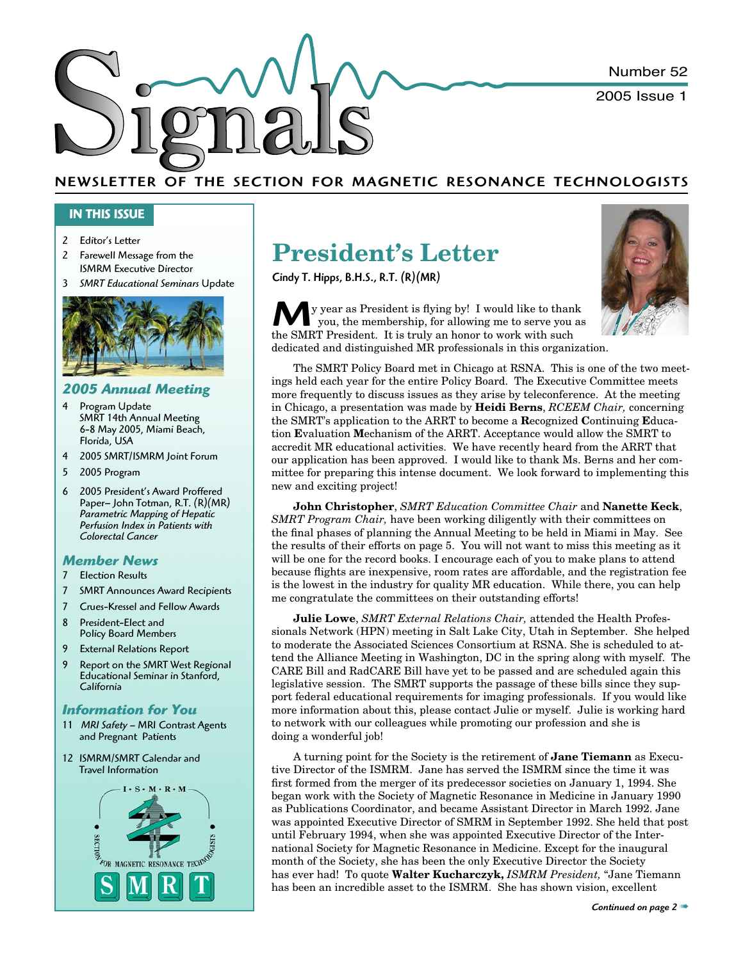Number 52

2005 Issue 1

## NEWSLETTER OF THE SECTION FOR MAGNETIC RESONANCE TECHNOLOGISTS

## **IN THIS ISSUE**

2 Editor's Letter

- 2 Farewell Message from the ISMRM Executive Director
- 3 *SMRT Educational Seminars* Update



## *2005 Annual Meeting*

- 4 Program Update SMRT 14th Annual Meeting 6-8 May 2005, Miami Beach, Florida, USA
- 4 2005 SMRT/ISMRM Joint Forum
- 5 2005 Program
- 6 2005 President's Award Proffered Paper– John Totman, R.T. (R)(MR) *Parametric Mapping of Hepatic Perfusion Index in Patients with Colorectal Cancer*

#### *Member News*

- 7 Election Results
- 7 SMRT Announces Award Recipients
- 7 Crues-Kressel and Fellow Awards
- 8 President-Elect and Policy Board Members
- 9 External Relations Report
- 9 Report on the SMRT West Regional Educational Seminar in Stanford, California

### *Information for You*

- 11 *MRI Safety –* MRI Contrast Agents and Pregnant Patients
- 12 ISMRM/SMRT Calendar and Travel Information



# **President's Letter**

Cindy T. Hipps, B.H.S., R.T. (R)(MR)



**M** y year as President is flying by! I would like to than you, the membership, for allowing me to serve you is the SMRT President. It is truly an honor to work with such y year as President is flying by! I would like to thank you, the membership, for allowing me to serve you as dedicated and distinguished MR professionals in this organization.

The SMRT Policy Board met in Chicago at RSNA. This is one of the two meetings held each year for the entire Policy Board. The Executive Committee meets more frequently to discuss issues as they arise by teleconference. At the meeting in Chicago, a presentation was made by **Heidi Berns**, *RCEEM Chair,* concerning the SMRT's application to the ARRT to become a **R**ecognized **C**ontinuing **E**ducation **E**valuation **M**echanism of the ARRT. Acceptance would allow the SMRT to accredit MR educational activities. We have recently heard from the ARRT that our application has been approved. I would like to thank Ms. Berns and her committee for preparing this intense document. We look forward to implementing this new and exciting project!

**John Christopher**, *SMRT Education Committee Chair* and **Nanette Keck**, *SMRT Program Chair,* have been working diligently with their committees on the final phases of planning the Annual Meeting to be held in Miami in May. See the results of their efforts on page 5. You will not want to miss this meeting as it will be one for the record books. I encourage each of you to make plans to attend because flights are inexpensive, room rates are affordable, and the registration fee is the lowest in the industry for quality MR education. While there, you can help me congratulate the committees on their outstanding efforts!

**Julie Lowe**, *SMRT External Relations Chair,* attended the Health Professionals Network (HPN) meeting in Salt Lake City, Utah in September. She helped to moderate the Associated Sciences Consortium at RSNA. She is scheduled to attend the Alliance Meeting in Washington, DC in the spring along with myself. The CARE Bill and RadCARE Bill have yet to be passed and are scheduled again this legislative session. The SMRT supports the passage of these bills since they support federal educational requirements for imaging professionals. If you would like more information about this, please contact Julie or myself. Julie is working hard to network with our colleagues while promoting our profession and she is doing a wonderful job!

A turning point for the Society is the retirement of **Jane Tiemann** as Executive Director of the ISMRM. Jane has served the ISMRM since the time it was first formed from the merger of its predecessor societies on January 1, 1994. She began work with the Society of Magnetic Resonance in Medicine in January 1990 as Publications Coordinator, and became Assistant Director in March 1992. Jane was appointed Executive Director of SMRM in September 1992. She held that post until February 1994, when she was appointed Executive Director of the International Society for Magnetic Resonance in Medicine. Except for the inaugural month of the Society, she has been the only Executive Director the Society has ever had! To quote **Walter Kucharczyk,** *ISMRM President,* "Jane Tiemann has been an incredible asset to the ISMRM. She has shown vision, excellent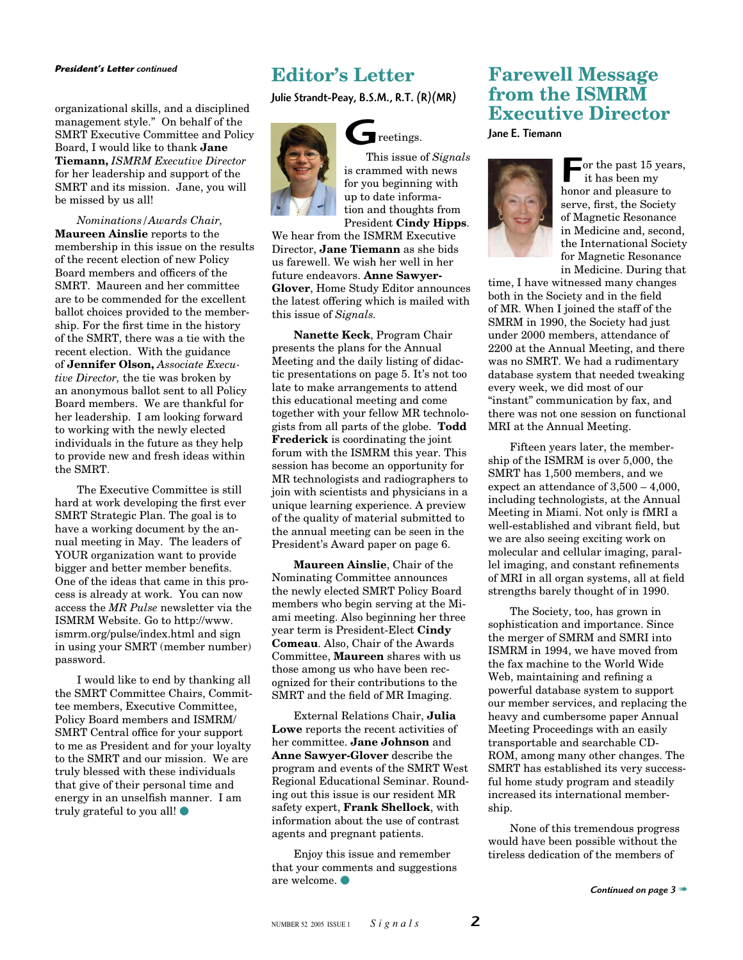#### *President's Letter continued*

organizational skills, and a disciplined management style." On behalf of the SMRT Executive Committee and Policy Board, I would like to thank **Jane Tiemann,** *ISMRM Executive Director* for her leadership and support of the SMRT and its mission. Jane, you will be missed by us all!

*Nominations/Awards Chair,* **Maureen Ainslie** reports to the membership in this issue on the results of the recent election of new Policy Board members and officers of the SMRT. Maureen and her committee are to be commended for the excellent ballot choices provided to the membership. For the first time in the history of the SMRT, there was a tie with the recent election. With the guidance of **Jennifer Olson,** *Associate Executive Director,* the tie was broken by an anonymous ballot sent to all Policy Board members. We are thankful for her leadership. I am looking forward to working with the newly elected individuals in the future as they help to provide new and fresh ideas within the SMRT.

The Executive Committee is still hard at work developing the first ever SMRT Strategic Plan. The goal is to have a working document by the annual meeting in May. The leaders of YOUR organization want to provide bigger and better member benefits. One of the ideas that came in this process is already at work. You can now access the *MR Pulse* newsletter via the ISMRM Website. Go to http://www. ismrm.org/pulse/index.html and sign in using your SMRT (member number) password.

I would like to end by thanking all the SMRT Committee Chairs, Committee members, Executive Committee, Policy Board members and ISMRM/ SMRT Central office for your support to me as President and for your loyalty to the SMRT and our mission. We are truly blessed with these individuals that give of their personal time and energy in an unselfish manner. I am truly grateful to you all!

## **Editor's Letter**

Julie Strandt-Peay, B.S.M., R.T. (R)(MR)



## Gree **T** reetings.

This issue of *Signals* is crammed with news for you beginning with up to date information and thoughts from President **Cindy Hipps**.

We hear from the ISMRM Executive Director, **Jane Tiemann** as she bids us farewell. We wish her well in her future endeavors. **Anne Sawyer-Glover**, Home Study Editor announces the latest offering which is mailed with this issue of *Signals.*

**Nanette Keck**, Program Chair presents the plans for the Annual Meeting and the daily listing of didactic presentations on page 5. It's not too late to make arrangements to attend this educational meeting and come together with your fellow MR technologists from all parts of the globe. **Todd Frederick** is coordinating the joint forum with the ISMRM this year. This session has become an opportunity for MR technologists and radiographers to join with scientists and physicians in a unique learning experience. A preview of the quality of material submitted to the annual meeting can be seen in the President's Award paper on page 6.

**Maureen Ainslie**, Chair of the Nominating Committee announces the newly elected SMRT Policy Board members who begin serving at the Miami meeting. Also beginning her three year term is President-Elect **Cindy Comeau**. Also, Chair of the Awards Committee, **Maureen** shares with us those among us who have been recognized for their contributions to the SMRT and the field of MR Imaging.

External Relations Chair, **Julia Lowe** reports the recent activities of her committee. **Jane Johnson** and **Anne Sawyer-Glover** describe the program and events of the SMRT West Regional Educational Seminar. Rounding out this issue is our resident MR safety expert, **Frank Shellock**, with information about the use of contrast agents and pregnant patients.

Enjoy this issue and remember that your comments and suggestions are welcome.

## **Farewell Message from the ISMRM Executive Director**

Jane E. Tiemann



or the past 15 years, it has been my honor and pleasure to serve, first, the Society of Magnetic Resonance in Medicine and, second, the International Society for Magnetic Resonance in Medicine. During that  $\Gamma_{\text{it}}^{\text{or}}$ 

time, I have witnessed many changes both in the Society and in the field of MR. When I joined the staff of the SMRM in 1990, the Society had just under 2000 members, attendance of 2200 at the Annual Meeting, and there was no SMRT. We had a rudimentary database system that needed tweaking every week, we did most of our "instant" communication by fax, and there was not one session on functional MRI at the Annual Meeting.

Fifteen years later, the membership of the ISMRM is over 5,000, the SMRT has 1,500 members, and we expect an attendance of 3,500 – 4,000, including technologists, at the Annual Meeting in Miami. Not only is fMRI a well-established and vibrant field, but we are also seeing exciting work on molecular and cellular imaging, parallel imaging, and constant refinements of MRI in all organ systems, all at field strengths barely thought of in 1990.

The Society, too, has grown in sophistication and importance. Since the merger of SMRM and SMRI into ISMRM in 1994, we have moved from the fax machine to the World Wide Web, maintaining and refining a powerful database system to support our member services, and replacing the heavy and cumbersome paper Annual Meeting Proceedings with an easily transportable and searchable CD-ROM, among many other changes. The SMRT has established its very successful home study program and steadily increased its international membership.

None of this tremendous progress would have been possible without the tireless dedication of the members of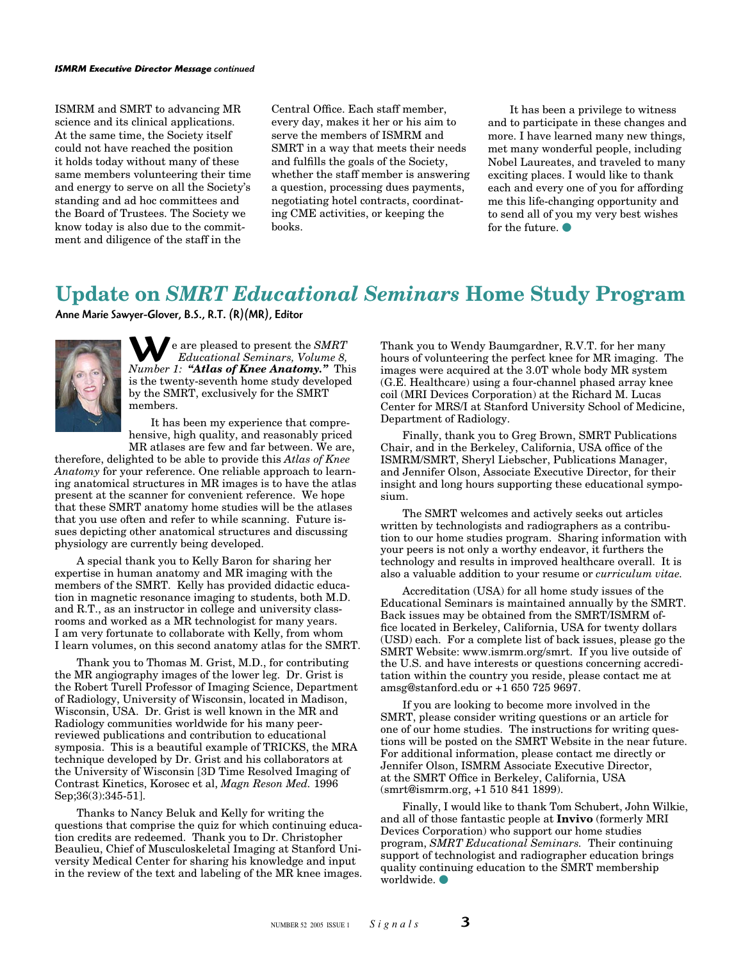ISMRM and SMRT to advancing MR science and its clinical applications. At the same time, the Society itself could not have reached the position it holds today without many of these same members volunteering their time and energy to serve on all the Society's standing and ad hoc committees and the Board of Trustees. The Society we know today is also due to the commitment and diligence of the staff in the

Central Office. Each staff member, every day, makes it her or his aim to serve the members of ISMRM and SMRT in a way that meets their needs and fulfills the goals of the Society, whether the staff member is answering a question, processing dues payments, negotiating hotel contracts, coordinating CME activities, or keeping the books.

It has been a privilege to witness and to participate in these changes and more. I have learned many new things, met many wonderful people, including Nobel Laureates, and traveled to many exciting places. I would like to thank each and every one of you for affording me this life-changing opportunity and to send all of you my very best wishes for the future.  $\bullet$ 

## **Update on** *SMRT Educational Seminars* **Home Study Program**

Anne Marie Sawyer-Glover, B.S., R.T. (R)(MR), Editor



 e are pleased to present the *SMRT Educational Seminars, Volume 8,*  **Number 1: "Atlas of Knee Anatomy."** This is the twenty-seventh home study developed by the SMRT, exclusively for the SMRT members.

It has been my experience that comprehensive, high quality, and reasonably priced MR atlases are few and far between. We are,

therefore, delighted to be able to provide this *Atlas of Knee Anatomy* for your reference. One reliable approach to learning anatomical structures in MR images is to have the atlas present at the scanner for convenient reference. We hope that these SMRT anatomy home studies will be the atlases that you use often and refer to while scanning. Future issues depicting other anatomical structures and discussing physiology are currently being developed.

A special thank you to Kelly Baron for sharing her expertise in human anatomy and MR imaging with the members of the SMRT. Kelly has provided didactic education in magnetic resonance imaging to students, both M.D. and R.T., as an instructor in college and university classrooms and worked as a MR technologist for many years. I am very fortunate to collaborate with Kelly, from whom I learn volumes, on this second anatomy atlas for the SMRT.

Thank you to Thomas M. Grist, M.D., for contributing the MR angiography images of the lower leg. Dr. Grist is the Robert Turell Professor of Imaging Science, Department of Radiology, University of Wisconsin, located in Madison, Wisconsin, USA. Dr. Grist is well known in the MR and Radiology communities worldwide for his many peerreviewed publications and contribution to educational symposia. This is a beautiful example of TRICKS, the MRA technique developed by Dr. Grist and his collaborators at the University of Wisconsin [3D Time Resolved Imaging of Contrast Kinetics, Korosec et al, *Magn Reson Med.* 1996 Sep;36(3):345-51].

Thanks to Nancy Beluk and Kelly for writing the questions that comprise the quiz for which continuing education credits are redeemed. Thank you to Dr. Christopher Beaulieu, Chief of Musculoskeletal Imaging at Stanford University Medical Center for sharing his knowledge and input in the review of the text and labeling of the MR knee images.

Thank you to Wendy Baumgardner, R.V.T. for her many hours of volunteering the perfect knee for MR imaging. The images were acquired at the 3.0T whole body MR system (G.E. Healthcare) using a four-channel phased array knee coil (MRI Devices Corporation) at the Richard M. Lucas Center for MRS/I at Stanford University School of Medicine, Department of Radiology.

Finally, thank you to Greg Brown, SMRT Publications Chair, and in the Berkeley, California, USA office of the ISMRM/SMRT, Sheryl Liebscher, Publications Manager, and Jennifer Olson, Associate Executive Director, for their insight and long hours supporting these educational symposium.

The SMRT welcomes and actively seeks out articles written by technologists and radiographers as a contribution to our home studies program. Sharing information with your peers is not only a worthy endeavor, it furthers the technology and results in improved healthcare overall. It is also a valuable addition to your resume or *curriculum vitae.*

Accreditation (USA) for all home study issues of the Educational Seminars is maintained annually by the SMRT. Back issues may be obtained from the SMRT/ISMRM office located in Berkeley, California, USA for twenty dollars (USD) each. For a complete list of back issues, please go the SMRT Website: www.ismrm.org/smrt. If you live outside of the U.S. and have interests or questions concerning accreditation within the country you reside, please contact me at amsg@stanford.edu or +1 650 725 9697.

If you are looking to become more involved in the SMRT, please consider writing questions or an article for one of our home studies. The instructions for writing questions will be posted on the SMRT Website in the near future. For additional information, please contact me directly or Jennifer Olson, ISMRM Associate Executive Director, at the SMRT Office in Berkeley, California, USA (smrt@ismrm.org, +1 510 841 1899).

Finally, I would like to thank Tom Schubert, John Wilkie, and all of those fantastic people at **Invivo** (formerly MRI Devices Corporation) who support our home studies program, *SMRT Educational Seminars.* Their continuing support of technologist and radiographer education brings quality continuing education to the SMRT membership worldwide.<sup>●</sup>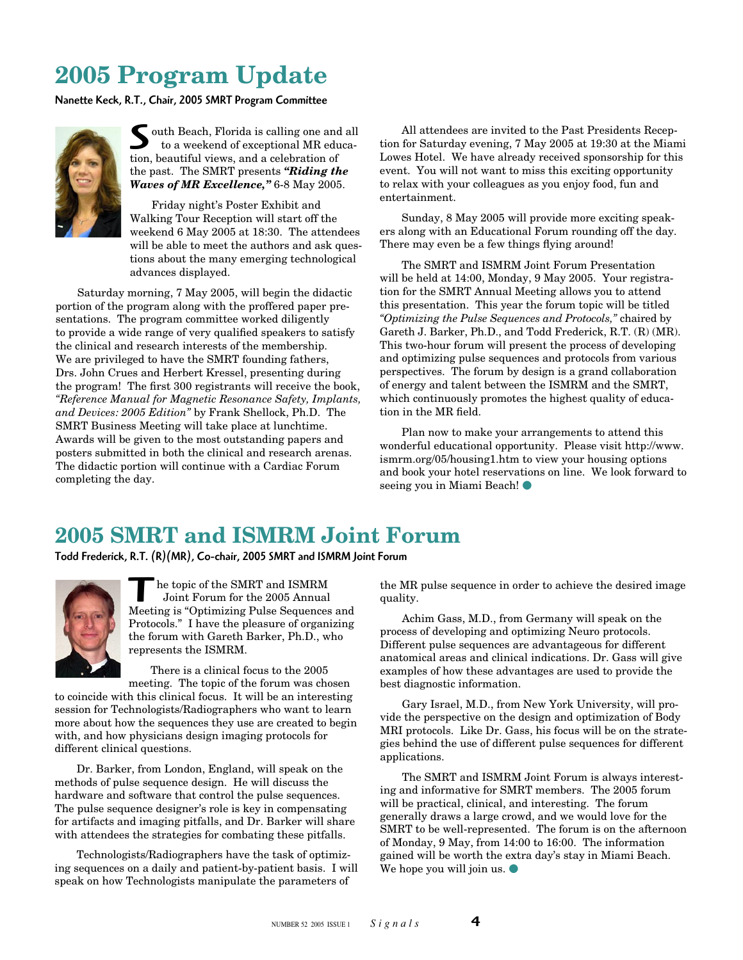# **2005 Program Update**

Nanette Keck, R.T., Chair, 2005 SMRT Program Committee



outh Beach, Florida is calling one and all **S** outh Beach, Florida is calling one and all to a weekend of exceptional MR education beautiful views and a celebration of tion, beautiful views, and a celebration of the past. The SMRT presents *"Riding the Waves of MR Excellence,"* 6-8 May 2005.

Friday night's Poster Exhibit and Walking Tour Reception will start off the weekend 6 May 2005 at 18:30. The attendees will be able to meet the authors and ask questions about the many emerging technological advances displayed.

Saturday morning, 7 May 2005, will begin the didactic portion of the program along with the proffered paper presentations. The program committee worked diligently to provide a wide range of very qualified speakers to satisfy the clinical and research interests of the membership. We are privileged to have the SMRT founding fathers, Drs. John Crues and Herbert Kressel, presenting during the program! The first 300 registrants will receive the book, *"Reference Manual for Magnetic Resonance Safety, Implants, and Devices: 2005 Edition"* by Frank Shellock, Ph.D. The SMRT Business Meeting will take place at lunchtime. Awards will be given to the most outstanding papers and posters submitted in both the clinical and research arenas. The didactic portion will continue with a Cardiac Forum completing the day.

All attendees are invited to the Past Presidents Reception for Saturday evening, 7 May 2005 at 19:30 at the Miami Lowes Hotel. We have already received sponsorship for this event. You will not want to miss this exciting opportunity to relax with your colleagues as you enjoy food, fun and entertainment.

Sunday, 8 May 2005 will provide more exciting speakers along with an Educational Forum rounding off the day. There may even be a few things flying around!

The SMRT and ISMRM Joint Forum Presentation will be held at 14:00, Monday, 9 May 2005. Your registration for the SMRT Annual Meeting allows you to attend this presentation. This year the forum topic will be titled *"Optimizing the Pulse Sequences and Protocols,"* chaired by Gareth J. Barker, Ph.D., and Todd Frederick, R.T. (R) (MR). This two-hour forum will present the process of developing and optimizing pulse sequences and protocols from various perspectives. The forum by design is a grand collaboration of energy and talent between the ISMRM and the SMRT, which continuously promotes the highest quality of education in the MR field.

Plan now to make your arrangements to attend this wonderful educational opportunity. Please visit http://www. ismrm.org/05/housing1.htm to view your housing options and book your hotel reservations on line. We look forward to seeing you in Miami Beach!

# **2005 SMRT and ISMRM Joint Forum**

Todd Frederick, R.T. (R)(MR), Co-chair, 2005 SMRT and ISMRM Joint Forum



 he topic of the SMRT and ISMRM Joint Forum for the 2005 Annual Meeting is "Optimizing Pulse Sequences and Protocols." I have the pleasure of organizing the forum with Gareth Barker, Ph.D., who represents the ISMRM.

There is a clinical focus to the 2005 meeting. The topic of the forum was chosen

to coincide with this clinical focus. It will be an interesting session for Technologists/Radiographers who want to learn more about how the sequences they use are created to begin with, and how physicians design imaging protocols for different clinical questions.

Dr. Barker, from London, England, will speak on the methods of pulse sequence design. He will discuss the hardware and software that control the pulse sequences. The pulse sequence designer's role is key in compensating for artifacts and imaging pitfalls, and Dr. Barker will share with attendees the strategies for combating these pitfalls.

Technologists/Radiographers have the task of optimizing sequences on a daily and patient-by-patient basis. I will speak on how Technologists manipulate the parameters of

the MR pulse sequence in order to achieve the desired image quality.

Achim Gass, M.D., from Germany will speak on the process of developing and optimizing Neuro protocols. Different pulse sequences are advantageous for different anatomical areas and clinical indications. Dr. Gass will give examples of how these advantages are used to provide the best diagnostic information.

Gary Israel, M.D., from New York University, will provide the perspective on the design and optimization of Body MRI protocols. Like Dr. Gass, his focus will be on the strategies behind the use of different pulse sequences for different applications.

The SMRT and ISMRM Joint Forum is always interesting and informative for SMRT members. The 2005 forum will be practical, clinical, and interesting. The forum generally draws a large crowd, and we would love for the SMRT to be well-represented. The forum is on the afternoon of Monday, 9 May, from 14:00 to 16:00. The information gained will be worth the extra day's stay in Miami Beach. We hope you will join us.  $\bullet$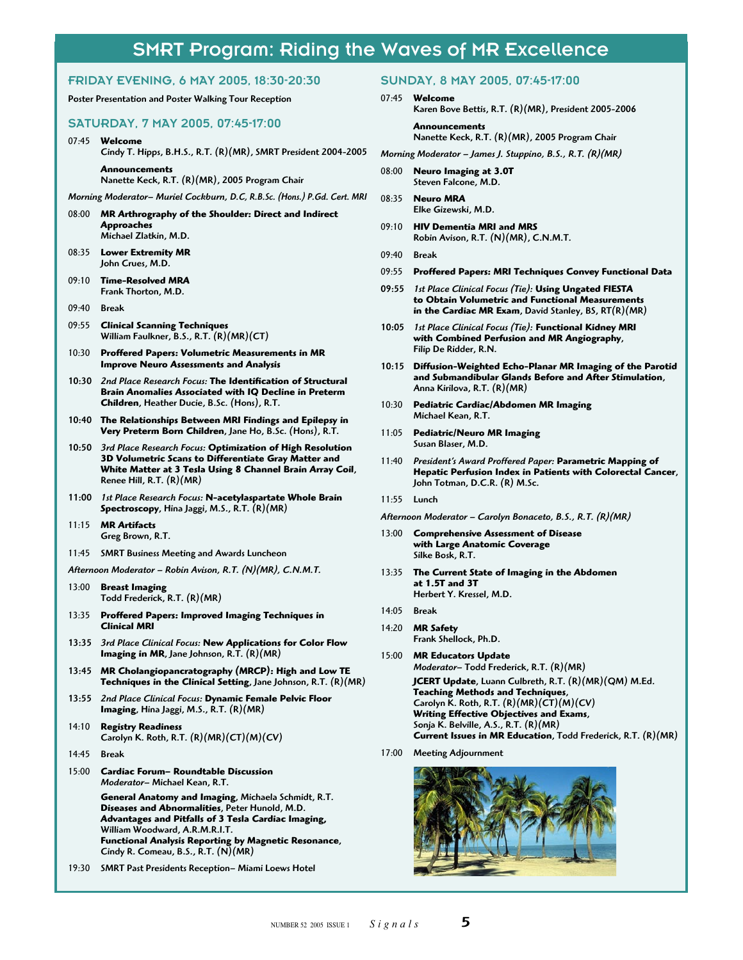## SMRT Program: Riding the Waves of MR Excellence

### FRIDAY EVENING, 6 MAY 2005, 18:30-20:30

#### Poster Presentation and Poster Walking Tour Reception

#### SATURDAY, 7 MAY 2005, 07:45-17:00

#### 07:45 **Welcome**

 Cindy T. Hipps, B.H.S., R.T. (R)(MR), SMRT President 2004-2005 **Announcements** 

Nanette Keck, R.T. (R)(MR), 2005 Program Chair

- *Morning Moderator– Muriel Cockburn, D.C, R.B.Sc. (Hons.) P.Gd. Cert. MRI*
- 08:00 **MR Arthrography of the Shoulder: Direct and Indirect Approaches**  Michael Zlatkin, M.D.
- 08:35 **Lower Extremity MR** John Crues, M.D.
- 09:10 **Time-Resolved MRA**  Frank Thorton, M.D.
- 09:40 Break
- 09:55 **Clinical Scanning Techniques** William Faulkner, B.S., R.T. (R)(MR)(CT)
- 10:30 **Proffered Papers: Volumetric Measurements in MR Improve Neuro Assessments and Analysis**
- 10:30 *2nd Place Research Focus:* **The Identification of Structural Brain Anomalies Associated with IQ Decline in Preterm Children**, Heather Ducie, B.Sc. (Hons), R.T.
- 10:40 **The Relationships Between MRI Findings and Epilepsy in Very Preterm Born Children**, Jane Ho, B.Sc. (Hons), R.T.
- 10:50 *3rd Place Research Focus:* **Optimization of High Resolution 3D Volumetric Scans to Differentiate Gray Matter and White Matter at 3 Tesla Using 8 Channel Brain Array Coil**, Renee Hill, R.T. (R)(MR)
- 11:00 *1st Place Research Focus:* **N-acetylaspartate Whole Brain Spectroscopy**, Hina Jaggi, M.S., R.T. (R)(MR)
- 11:15 **MR Artifacts** Greg Brown, R.T.
- 11:45 SMRT Business Meeting and Awards Luncheon
- *Afternoon Moderator Robin Avison, R.T. (N)(MR), C.N.M.T.*
- 13:00 **Breast Imaging** Todd Frederick, R.T. (R)(MR)
- 13:35 **Proffered Papers: Improved Imaging Techniques in Clinical MRI**
- 13:35 *3rd Place Clinical Focus:* **New Applications for Color Flow Imaging in MR**, Jane Johnson, R.T. (R)(MR)
- 13:45 **MR Cholangiopancratography (MRCP): High and Low TE Techniques in the Clinical Setting**, Jane Johnson, R.T. (R)(MR)
- 13:55 *2nd Place Clinical Focus:* **Dynamic Female Pelvic Floor Imaging**, Hina Jaggi, M.S., R.T. (R)(MR)
- 14:10 **Registry Readiness** Carolyn K. Roth, R.T. (R)(MR)(CT)(M)(CV)
- 14:45 Break
- 15:00 **Cardiac Forum– Roundtable Discussion** *Moderator–* Michael Kean, R.T.
	- **General Anatomy and Imaging**, Michaela Schmidt, R.T. **Diseases and Abnormalities**, Peter Hunold, M.D. **Advantages and Pitfalls of 3 Tesla Cardiac Imaging,** William Woodward, A.R.M.R.I.T. **Functional Analysis Reporting by Magnetic Resonance**, Cindy R. Comeau, B.S., R.T.  $(N)(MR)$
- 19:30 SMRT Past Presidents Reception– Miami Loews Hotel

## SUNDAY, 8 MAY 2005, 07:45-17:00

- 07:45 **Welcome**
	- Karen Bove Bettis, R.T. (R)(MR), President 2005-2006 **Announcements**

Nanette Keck, R.T. (R)(MR), 2005 Program Chair

- *Morning Moderator James J. Stuppino, B.S., R.T. (R)(MR)*
- 08:00 **Neuro Imaging at 3.0T** Steven Falcone, M.D.
- 08:35 **Neuro MRA** Elke Gizewski, M.D.
- 09:10 **HIV Dementia MRI and MRS** Robin Avison, R.T. (N)(MR), C.N.M.T.
- 09:40 Break
- 09:55 **Proffered Papers: MRI Techniques Convey Functional Data**
- 09:55 *1st Place Clinical Focus (Tie):* **Using Ungated FIESTA to Obtain Volumetric and Functional Measurements in the Cardiac MR Exam**, David Stanley, BS, RT(R)(MR)
- 10:05 *1st Place Clinical Focus (Tie):* **Functional Kidney MRI with Combined Perfusion and MR Angiography**, Filip De Ridder, R.N.
- 10:15 **Diffusion-Weighted Echo-Planar MR Imaging of the Parotid and Submandibular Glands Before and After Stimulation**, Anna Kirilova, R.T. (R)(MR)
- 10:30 **Pediatric Cardiac/Abdomen MR Imaging** Michael Kean, R.T.
- 11:05 **Pediatric/Neuro MR Imaging** Susan Blaser, M.D.
- 11:40 *President's Award Proffered Paper:* **Parametric Mapping of Hepatic Perfusion Index in Patients with Colorectal Cancer**, John Totman, D.C.R. (R) M.Sc.

#### 11:55 Lunch

- *Afternoon Moderator Carolyn Bonaceto, B.S., R.T. (R)(MR)*
- 13:00 **Comprehensive Assessment of Disease with Large Anatomic Coverage** Silke Bosk, R.T.
- 13:35 **The Current State of Imaging in the Abdomen at 1.5T and 3T** Herbert Y. Kressel, M.D.
- 14:05 Break
- 14:20 **MR Safety** Frank Shellock, Ph.D.
- 15:00 **MR Educators Update** *Moderator–* Todd Frederick, R.T. (R)(MR)

**JCERT Update**, Luann Culbreth, R.T. (R)(MR)(QM) M.Ed. **Teaching Methods and Techniques**, Carolyn K. Roth, R.T.  $(R)(MR)(CT)(M)(CV)$ **Writing Effective Objectives and Exams**, Sonja K. Belville, A.S., R.T. (R)(MR) **Current Issues in MR Education**, Todd Frederick, R.T. (R)(MR)

17:00 Meeting Adjournment

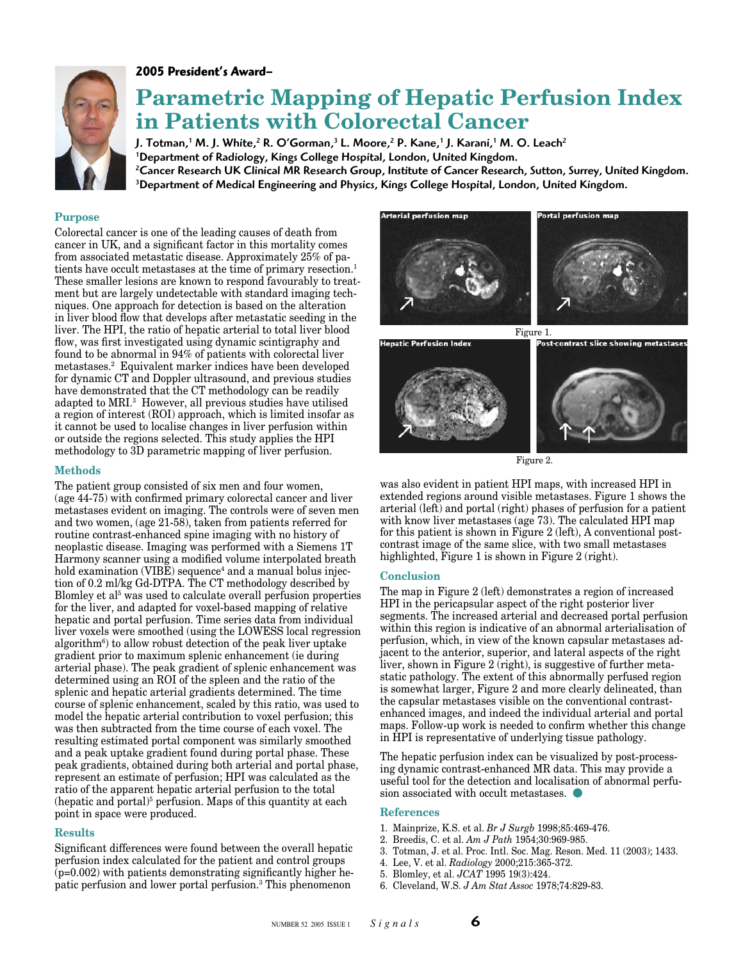

## **2005 President's Award–**

# **Parametric Mapping of Hepatic Perfusion Index in Patients with Colorectal Cancer**

J. Totman,<sup>1</sup> M. J. White,<sup>2</sup> R. O'Gorman,<sup>3</sup> L. Moore,<sup>2</sup> P. Kane,<sup>1</sup> J. Karani,<sup>1</sup> M. O. Leach<sup>2</sup> Department of Radiology, Kings College Hospital, London, United Kingdom. Cancer Research UK Clinical MR Research Group, Institute of Cancer Research, Sutton, Surrey, United Kingdom. Department of Medical Engineering and Physics, Kings College Hospital, London, United Kingdom.

### **Purpose**

Colorectal cancer is one of the leading causes of death from cancer in UK, and a significant factor in this mortality comes from associated metastatic disease. Approximately 25% of patients have occult metastases at the time of primary resection.<sup>1</sup> These smaller lesions are known to respond favourably to treatment but are largely undetectable with standard imaging techniques. One approach for detection is based on the alteration in liver blood flow that develops after metastatic seeding in the liver. The HPI, the ratio of hepatic arterial to total liver blood flow, was first investigated using dynamic scintigraphy and found to be abnormal in 94% of patients with colorectal liver metastases.2 Equivalent marker indices have been developed for dynamic CT and Doppler ultrasound, and previous studies have demonstrated that the CT methodology can be readily adapted to MRI.3 However, all previous studies have utilised a region of interest (ROI) approach, which is limited insofar as it cannot be used to localise changes in liver perfusion within or outside the regions selected. This study applies the HPI methodology to 3D parametric mapping of liver perfusion.

#### **Methods**

The patient group consisted of six men and four women, (age 44-75) with confirmed primary colorectal cancer and liver metastases evident on imaging. The controls were of seven men and two women, (age 21-58), taken from patients referred for routine contrast-enhanced spine imaging with no history of neoplastic disease. Imaging was performed with a Siemens 1T Harmony scanner using a modified volume interpolated breath hold examination (VIBE) sequence<sup>4</sup> and a manual bolus injection of 0.2 ml/kg Gd-DTPA. The CT methodology described by Blomley et al<sup>5</sup> was used to calculate overall perfusion properties for the liver, and adapted for voxel-based mapping of relative hepatic and portal perfusion. Time series data from individual liver voxels were smoothed (using the LOWESS local regression algorithm<sup>6</sup>) to allow robust detection of the peak liver uptake gradient prior to maximum splenic enhancement (ie during arterial phase). The peak gradient of splenic enhancement was determined using an ROI of the spleen and the ratio of the splenic and hepatic arterial gradients determined. The time course of splenic enhancement, scaled by this ratio, was used to model the hepatic arterial contribution to voxel perfusion; this was then subtracted from the time course of each voxel. The resulting estimated portal component was similarly smoothed and a peak uptake gradient found during portal phase. These peak gradients, obtained during both arterial and portal phase, represent an estimate of perfusion; HPI was calculated as the ratio of the apparent hepatic arterial perfusion to the total (hepatic and portal)<sup>5</sup> perfusion. Maps of this quantity at each point in space were produced.

### **Results**

Significant differences were found between the overall hepatic perfusion index calculated for the patient and control groups  $(p=0.002)$  with patients demonstrating significantly higher hepatic perfusion and lower portal perfusion.3 This phenomenon



Figure 2.

was also evident in patient HPI maps, with increased HPI in extended regions around visible metastases. Figure 1 shows the arterial (left) and portal (right) phases of perfusion for a patient with know liver metastases (age 73). The calculated HPI map for this patient is shown in Figure 2 (left), A conventional postcontrast image of the same slice, with two small metastases highlighted, Figure 1 is shown in Figure 2 (right).

### **Conclusion**

The map in Figure 2 (left) demonstrates a region of increased HPI in the pericapsular aspect of the right posterior liver segments. The increased arterial and decreased portal perfusion within this region is indicative of an abnormal arterialisation of perfusion, which, in view of the known capsular metastases adjacent to the anterior, superior, and lateral aspects of the right liver, shown in Figure 2 (right), is suggestive of further metastatic pathology. The extent of this abnormally perfused region is somewhat larger, Figure 2 and more clearly delineated, than the capsular metastases visible on the conventional contrastenhanced images, and indeed the individual arterial and portal maps. Follow-up work is needed to confirm whether this change in HPI is representative of underlying tissue pathology.

The hepatic perfusion index can be visualized by post-processing dynamic contrast-enhanced MR data. This may provide a useful tool for the detection and localisation of abnormal perfusion associated with occult metastases.  $\bullet$ 

#### **References**

- 1. Mainprize, K.S. et al. *Br J Surgb* 1998;85:469-476.
- 2. Breedis, C. et al. *Am J Path* 1954;30:969-985.
- 3. Totman, J. et al. Proc. Intl. Soc. Mag. Reson. Med. 11 (2003); 1433.
- 4. Lee, V. et al. *Radiology* 2000;215:365-372.
- 5. Blomley, et al. *JCAT* 1995 19(3):424.
- 6. Cleveland, W.S. *J Am Stat Assoc* 1978;74:829-83.

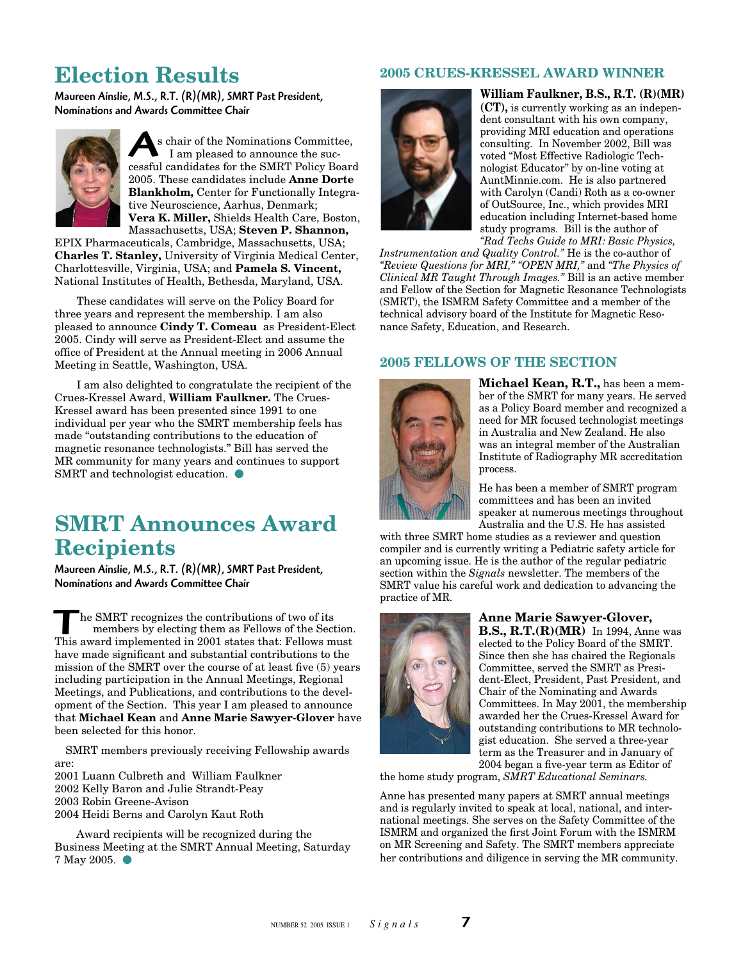# **Election Results**

Maureen Ainslie, M.S., R.T. (R)(MR), SMRT Past President, Nominations and Awards Committee Chair



 s chair of the Nominations Committee, I am pleased to announce the sucs chair of the Nominations Committee,<br>
I am pleased to announce the successful candidates for the SMRT Policy Board 2005. These candidates include **Anne Dorte Blankholm,** Center for Functionally Integrative Neuroscience, Aarhus, Denmark; **Vera K. Miller,** Shields Health Care, Boston, Massachusetts, USA; **Steven P. Shannon,**

EPIX Pharmaceuticals, Cambridge, Massachusetts, USA; **Charles T. Stanley,** University of Virginia Medical Center, Charlottesville, Virginia, USA; and **Pamela S. Vincent,** National Institutes of Health, Bethesda, Maryland, USA.

These candidates will serve on the Policy Board for three years and represent the membership. I am also pleased to announce **Cindy T. Comeau** as President-Elect 2005. Cindy will serve as President-Elect and assume the office of President at the Annual meeting in 2006 Annual Meeting in Seattle, Washington, USA.

I am also delighted to congratulate the recipient of the Crues-Kressel Award, **William Faulkner.** The Crues-Kressel award has been presented since 1991 to one individual per year who the SMRT membership feels has made "outstanding contributions to the education of magnetic resonance technologists." Bill has served the MR community for many years and continues to support SMRT and technologist education.  $\bullet$ 

# **SMRT Announces Award Recipients**

Maureen Ainslie, M.S., R.T. (R)(MR), SMRT Past President, Nominations and Awards Committee Chair

The SMRT recognizes the contributions of two of its<br>members by electing them as Fellows of the Section.<br>This award implemented in 2001 states that: Fellows must have made significant and substantial contributions to the mission of the SMRT over the course of at least five (5) years including participation in the Annual Meetings, Regional Meetings, and Publications, and contributions to the development of the Section. This year I am pleased to announce that **Michael Kean** and **Anne Marie Sawyer-Glover** have been selected for this honor.

SMRT members previously receiving Fellowship awards are:

2001 Luann Culbreth and William Faulkner 2002 Kelly Baron and Julie Strandt-Peay 2003 Robin Greene-Avison 2004 Heidi Berns and Carolyn Kaut Roth

Award recipients will be recognized during the Business Meeting at the SMRT Annual Meeting, Saturday 7 May 2005.

## **2005 CRUES-KRESSEL AWARD WINNER**



**William Faulkner, B.S., R.T. (R)(MR) (CT),** is currently working as an independent consultant with his own company, providing MRI education and operations consulting. In November 2002, Bill was voted "Most Effective Radiologic Technologist Educator" by on-line voting at AuntMinnie.com. He is also partnered with Carolyn (Candi) Roth as a co-owner of OutSource, Inc., which provides MRI education including Internet-based home study programs. Bill is the author of *"Rad Techs Guide to MRI: Basic Physics,* 

*Instrumentation and Quality Control."* He is the co-author of *"Review Questions for MRI," "OPEN MRI,"* and *"The Physics of Clinical MR Taught Through Images."* Bill is an active member and Fellow of the Section for Magnetic Resonance Technologists (SMRT), the ISMRM Safety Committee and a member of the technical advisory board of the Institute for Magnetic Resonance Safety, Education, and Research.

## **2005 FELLOWS OF THE SECTION**



**Michael Kean, R.T.,** has been a member of the SMRT for many years. He served as a Policy Board member and recognized a need for MR focused technologist meetings in Australia and New Zealand. He also was an integral member of the Australian Institute of Radiography MR accreditation process.

He has been a member of SMRT program committees and has been an invited speaker at numerous meetings throughout Australia and the U.S. He has assisted

with three SMRT home studies as a reviewer and question compiler and is currently writing a Pediatric safety article for an upcoming issue. He is the author of the regular pediatric section within the *Signals* newsletter. The members of the SMRT value his careful work and dedication to advancing the practice of MR.



**Anne Marie Sawyer-Glover, B.S., R.T.(R)(MR)** In 1994, Anne was elected to the Policy Board of the SMRT. Since then she has chaired the Regionals Committee, served the SMRT as President-Elect, President, Past President, and Chair of the Nominating and Awards Committees. In May 2001, the membership awarded her the Crues-Kressel Award for outstanding contributions to MR technologist education. She served a three-year term as the Treasurer and in January of 2004 began a five-year term as Editor of

the home study program, *SMRT Educational Seminars.* 

Anne has presented many papers at SMRT annual meetings and is regularly invited to speak at local, national, and international meetings. She serves on the Safety Committee of the ISMRM and organized the first Joint Forum with the ISMRM on MR Screening and Safety. The SMRT members appreciate her contributions and diligence in serving the MR community.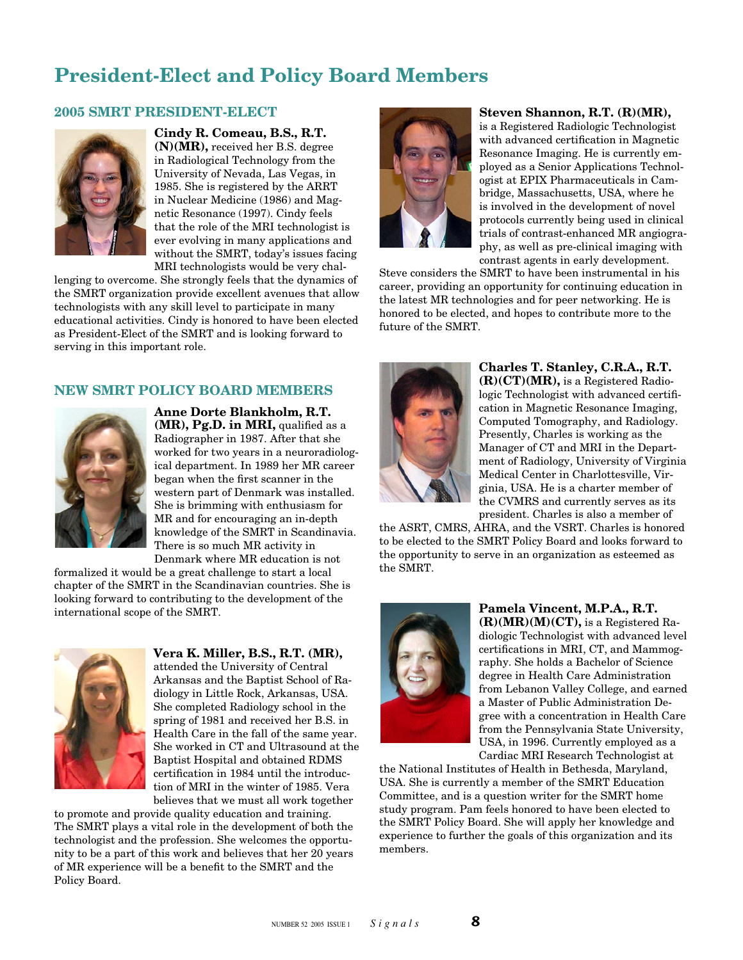## **President-Elect and Policy Board Members**

## **2005 SMRT PRESIDENT-ELECT**



### **Cindy R. Comeau, B.S., R.T.**

**(N)(MR),** received her B.S. degree in Radiological Technology from the University of Nevada, Las Vegas, in 1985. She is registered by the ARRT in Nuclear Medicine (1986) and Magnetic Resonance (1997). Cindy feels that the role of the MRI technologist is ever evolving in many applications and without the SMRT, today's issues facing MRI technologists would be very chal-

lenging to overcome. She strongly feels that the dynamics of the SMRT organization provide excellent avenues that allow technologists with any skill level to participate in many educational activities. Cindy is honored to have been elected as President-Elect of the SMRT and is looking forward to serving in this important role.

## **NEW SMRT POLICY BOARD MEMBERS**



**Anne Dorte Blankholm, R.T. (MR), Pg.D. in MRI,** qualified as a Radiographer in 1987. After that she worked for two years in a neuroradiological department. In 1989 her MR career began when the first scanner in the western part of Denmark was installed. She is brimming with enthusiasm for MR and for encouraging an in-depth knowledge of the SMRT in Scandinavia. There is so much MR activity in Denmark where MR education is not

formalized it would be a great challenge to start a local chapter of the SMRT in the Scandinavian countries. She is looking forward to contributing to the development of the international scope of the SMRT.



## **Vera K. Miller, B.S., R.T. (MR),**

attended the University of Central Arkansas and the Baptist School of Radiology in Little Rock, Arkansas, USA. She completed Radiology school in the spring of 1981 and received her B.S. in Health Care in the fall of the same year. She worked in CT and Ultrasound at the Baptist Hospital and obtained RDMS certification in 1984 until the introduction of MRI in the winter of 1985. Vera believes that we must all work together

to promote and provide quality education and training. The SMRT plays a vital role in the development of both the technologist and the profession. She welcomes the opportunity to be a part of this work and believes that her 20 years of MR experience will be a benefit to the SMRT and the Policy Board.



### **Steven Shannon, R.T. (R)(MR),**

is a Registered Radiologic Technologist with advanced certification in Magnetic Resonance Imaging. He is currently employed as a Senior Applications Technologist at EPIX Pharmaceuticals in Cambridge, Massachusetts, USA, where he is involved in the development of novel protocols currently being used in clinical trials of contrast-enhanced MR angiography, as well as pre-clinical imaging with contrast agents in early development.

Steve considers the SMRT to have been instrumental in his career, providing an opportunity for continuing education in the latest MR technologies and for peer networking. He is honored to be elected, and hopes to contribute more to the future of the SMRT.



**Charles T. Stanley, C.R.A., R.T. (R)(CT)(MR),** is a Registered Radiologic Technologist with advanced certification in Magnetic Resonance Imaging, Computed Tomography, and Radiology. Presently, Charles is working as the Manager of CT and MRI in the Department of Radiology, University of Virginia Medical Center in Charlottesville, Virginia, USA. He is a charter member of the CVMRS and currently serves as its president. Charles is also a member of

the ASRT, CMRS, AHRA, and the VSRT. Charles is honored to be elected to the SMRT Policy Board and looks forward to the opportunity to serve in an organization as esteemed as the SMRT.



### **Pamela Vincent, M.P.A., R.T.**

**(R)(MR)(M)(CT),** is a Registered Radiologic Technologist with advanced level certifications in MRI, CT, and Mammography. She holds a Bachelor of Science degree in Health Care Administration from Lebanon Valley College, and earned a Master of Public Administration Degree with a concentration in Health Care from the Pennsylvania State University, USA, in 1996. Currently employed as a Cardiac MRI Research Technologist at

the National Institutes of Health in Bethesda, Maryland, USA. She is currently a member of the SMRT Education Committee, and is a question writer for the SMRT home study program. Pam feels honored to have been elected to the SMRT Policy Board. She will apply her knowledge and experience to further the goals of this organization and its members.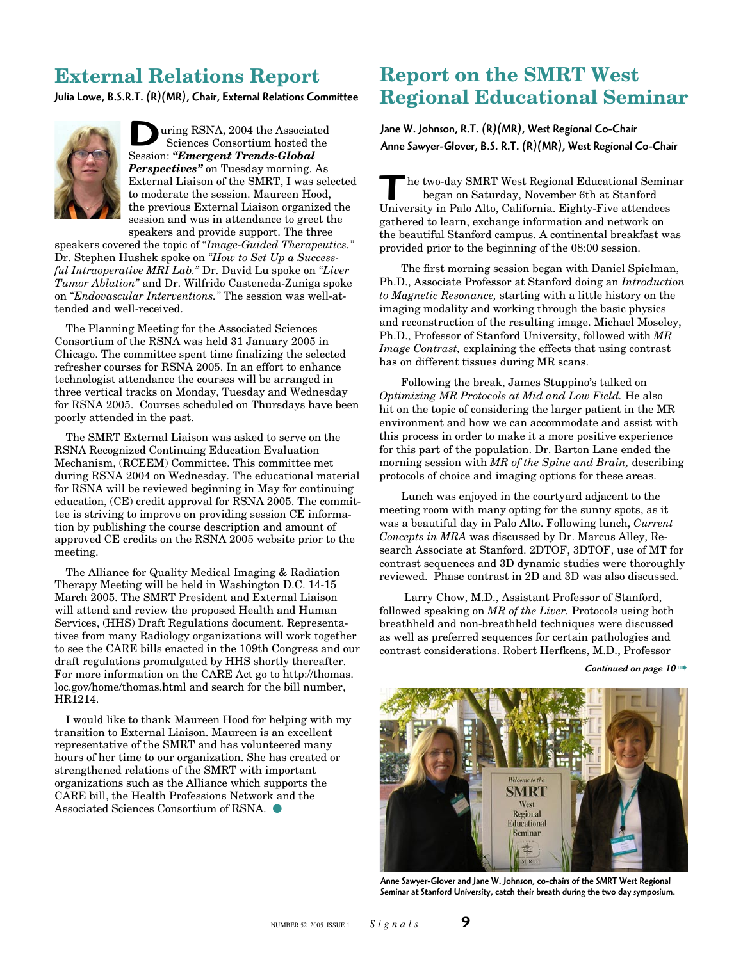## **External Relations Report**

Julia Lowe, B.S.R.T. (R)(MR), Chair, External Relations Committee



 uring RSNA, 2004 the Associated Sciences Consortium hosted the Uning RSNA, 2004 the Associate<br>
Session: *"Emergent Trends-Global*" *Perspectives"* on Tuesday morning. As External Liaison of the SMRT, I was selected to moderate the session. Maureen Hood, the previous External Liaison organized the session and was in attendance to greet the speakers and provide support. The three

speakers covered the topic of "*Image-Guided Therapeutics."* Dr. Stephen Hushek spoke on *"How to Set Up a Successful Intraoperative MRI Lab."* Dr. David Lu spoke on *"Liver Tumor Ablation"* and Dr. Wilfrido Casteneda-Zuniga spoke on *"Endovascular Interventions."* The session was well-attended and well-received.

The Planning Meeting for the Associated Sciences Consortium of the RSNA was held 31 January 2005 in Chicago. The committee spent time finalizing the selected refresher courses for RSNA 2005. In an effort to enhance technologist attendance the courses will be arranged in three vertical tracks on Monday, Tuesday and Wednesday for RSNA 2005. Courses scheduled on Thursdays have been poorly attended in the past.

The SMRT External Liaison was asked to serve on the RSNA Recognized Continuing Education Evaluation Mechanism, (RCEEM) Committee. This committee met during RSNA 2004 on Wednesday. The educational material for RSNA will be reviewed beginning in May for continuing education, (CE) credit approval for RSNA 2005. The committee is striving to improve on providing session CE information by publishing the course description and amount of approved CE credits on the RSNA 2005 website prior to the meeting.

The Alliance for Quality Medical Imaging & Radiation Therapy Meeting will be held in Washington D.C. 14-15 March 2005. The SMRT President and External Liaison will attend and review the proposed Health and Human Services, (HHS) Draft Regulations document. Representatives from many Radiology organizations will work together to see the CARE bills enacted in the 109th Congress and our draft regulations promulgated by HHS shortly thereafter. For more information on the CARE Act go to http://thomas. loc.gov/home/thomas.html and search for the bill number, HR1214.

I would like to thank Maureen Hood for helping with my transition to External Liaison. Maureen is an excellent representative of the SMRT and has volunteered many hours of her time to our organization. She has created or strengthened relations of the SMRT with important organizations such as the Alliance which supports the CARE bill, the Health Professions Network and the Associated Sciences Consortium of RSNA.

## **Report on the SMRT West Regional Educational Seminar**

Jane W. Johnson, R.T. (R)(MR), West Regional Co-Chair Anne Sawyer-Glover, B.S. R.T. (R)(MR), West Regional Co-Chair

The two-day SMRT West Regional Educational Semin<br>began on Saturday, November 6th at Stanford<br>University in Palo Alto, California. Eighty-Five attendees he two-day SMRT West Regional Educational Seminar began on Saturday, November 6th at Stanford gathered to learn, exchange information and network on the beautiful Stanford campus. A continental breakfast was provided prior to the beginning of the 08:00 session.

The first morning session began with Daniel Spielman, Ph.D., Associate Professor at Stanford doing an *Introduction to Magnetic Resonance,* starting with a little history on the imaging modality and working through the basic physics and reconstruction of the resulting image. Michael Moseley, Ph.D., Professor of Stanford University, followed with *MR Image Contrast,* explaining the effects that using contrast has on different tissues during MR scans.

Following the break, James Stuppino's talked on *Optimizing MR Protocols at Mid and Low Field.* He also hit on the topic of considering the larger patient in the MR environment and how we can accommodate and assist with this process in order to make it a more positive experience for this part of the population. Dr. Barton Lane ended the morning session with *MR of the Spine and Brain,* describing protocols of choice and imaging options for these areas.

Lunch was enjoyed in the courtyard adjacent to the meeting room with many opting for the sunny spots, as it was a beautiful day in Palo Alto. Following lunch, *Current Concepts in MRA* was discussed by Dr. Marcus Alley, Research Associate at Stanford. 2DTOF, 3DTOF, use of MT for contrast sequences and 3D dynamic studies were thoroughly reviewed. Phase contrast in 2D and 3D was also discussed.

 Larry Chow, M.D., Assistant Professor of Stanford, followed speaking on *MR of the Liver.* Protocols using both breathheld and non-breathheld techniques were discussed as well as preferred sequences for certain pathologies and contrast considerations. Robert Herfkens, M.D., Professor

*Continued on page 10* ➠



Anne Sawyer-Glover and Jane W. Johnson, co-chairs of the SMRT West Regional Seminar at Stanford University, catch their breath during the two day symposium.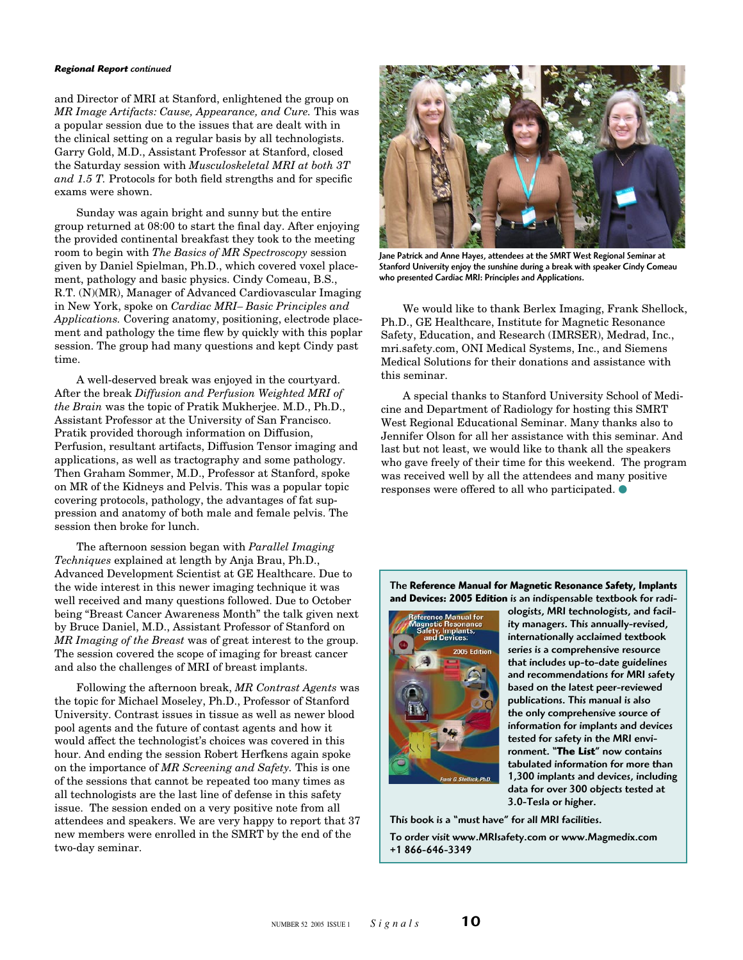#### *Regional Report continued*

and Director of MRI at Stanford, enlightened the group on *MR Image Artifacts: Cause, Appearance, and Cure.* This was a popular session due to the issues that are dealt with in the clinical setting on a regular basis by all technologists. Garry Gold, M.D., Assistant Professor at Stanford, closed the Saturday session with *Musculoskeletal MRI at both 3T and 1.5 T.* Protocols for both field strengths and for specific exams were shown.

Sunday was again bright and sunny but the entire group returned at 08:00 to start the final day. After enjoying the provided continental breakfast they took to the meeting room to begin with *The Basics of MR Spectroscopy* session given by Daniel Spielman, Ph.D., which covered voxel placement, pathology and basic physics. Cindy Comeau, B.S., R.T. (N)(MR), Manager of Advanced Cardiovascular Imaging in New York, spoke on *Cardiac MRI– Basic Principles and Applications.* Covering anatomy, positioning, electrode placement and pathology the time flew by quickly with this poplar session. The group had many questions and kept Cindy past time.

A well-deserved break was enjoyed in the courtyard. After the break *Diffusion and Perfusion Weighted MRI of the Brain* was the topic of Pratik Mukherjee. M.D., Ph.D., Assistant Professor at the University of San Francisco. Pratik provided thorough information on Diffusion, Perfusion, resultant artifacts, Diffusion Tensor imaging and applications, as well as tractography and some pathology. Then Graham Sommer, M.D., Professor at Stanford, spoke on MR of the Kidneys and Pelvis. This was a popular topic covering protocols, pathology, the advantages of fat suppression and anatomy of both male and female pelvis. The session then broke for lunch.

The afternoon session began with *Parallel Imaging Techniques* explained at length by Anja Brau, Ph.D., Advanced Development Scientist at GE Healthcare. Due to the wide interest in this newer imaging technique it was well received and many questions followed. Due to October being "Breast Cancer Awareness Month" the talk given next by Bruce Daniel, M.D., Assistant Professor of Stanford on *MR Imaging of the Breast* was of great interest to the group. The session covered the scope of imaging for breast cancer and also the challenges of MRI of breast implants.

Following the afternoon break, *MR Contrast Agents* was the topic for Michael Moseley, Ph.D., Professor of Stanford University. Contrast issues in tissue as well as newer blood pool agents and the future of contast agents and how it would affect the technologist's choices was covered in this hour. And ending the session Robert Herfkens again spoke on the importance of *MR Screening and Safety.* This is one of the sessions that cannot be repeated too many times as all technologists are the last line of defense in this safety issue. The session ended on a very positive note from all attendees and speakers. We are very happy to report that 37 new members were enrolled in the SMRT by the end of the two-day seminar.



Jane Patrick and Anne Hayes, attendees at the SMRT West Regional Seminar at Stanford University enjoy the sunshine during a break with speaker Cindy Comeau who presented Cardiac MRI: Principles and Applications.

We would like to thank Berlex Imaging, Frank Shellock, Ph.D., GE Healthcare, Institute for Magnetic Resonance Safety, Education, and Research (IMRSER), Medrad, Inc., mri.safety.com, ONI Medical Systems, Inc., and Siemens Medical Solutions for their donations and assistance with this seminar.

A special thanks to Stanford University School of Medicine and Department of Radiology for hosting this SMRT West Regional Educational Seminar. Many thanks also to Jennifer Olson for all her assistance with this seminar. And last but not least, we would like to thank all the speakers who gave freely of their time for this weekend. The program was received well by all the attendees and many positive responses were offered to all who participated.

The **Reference Manual for Magnetic Resonance Safety, Implants and Devices: 2005 Edition** is an indispensable textbook for radi-



ologists, MRI technologists, and facility managers. This annually-revised, internationally acclaimed textbook series is a comprehensive resource that includes up-to-date guidelines and recommendations for MRI safety based on the latest peer-reviewed publications. This manual is also the only comprehensive source of information for implants and devices tested for safety in the MRI environment. "**The List**" now contains tabulated information for more than 1,300 implants and devices, including data for over 300 objects tested at 3.0-Tesla or higher.

This book is a "must have" for all MRI facilities.

To order visit www.MRIsafety.com or www.Magmedix.com +1 866-646-3349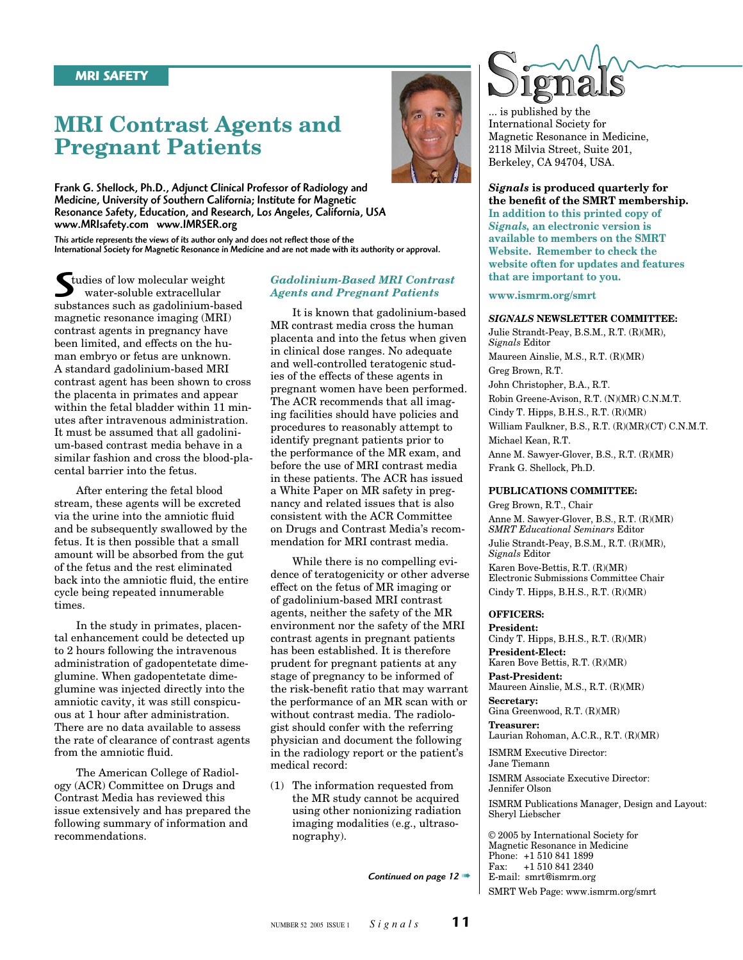### **MRI SAFETY**

## **MRI Contrast Agents and Pregnant Patients**

Frank G. Shellock, Ph.D., Adjunct Clinical Professor of Radiology and Medicine, University of Southern California; Institute for Magnetic Resonance Safety, Education, and Research, Los Angeles, California, USA www.MRIsafety.com www.IMRSER.org

This article represents the views of its author only and does not reflect those of the International Society for Magnetic Resonance in Medicine and are not made with its authority or approval.

tudies of low molecular weight water-soluble extracellular substances such as gadolinium-based magnetic resonance imaging (MRI) contrast agents in pregnancy have been limited, and effects on the human embryo or fetus are unknown. A standard gadolinium-based MRI contrast agent has been shown to cross the placenta in primates and appear within the fetal bladder within 11 minutes after intravenous administration. It must be assumed that all gadolinium-based contrast media behave in a similar fashion and cross the blood-placental barrier into the fetus.

After entering the fetal blood stream, these agents will be excreted via the urine into the amniotic fluid and be subsequently swallowed by the fetus. It is then possible that a small amount will be absorbed from the gut of the fetus and the rest eliminated back into the amniotic fluid, the entire cycle being repeated innumerable times.

In the study in primates, placental enhancement could be detected up to 2 hours following the intravenous administration of gadopentetate dimeglumine. When gadopentetate dimeglumine was injected directly into the amniotic cavity, it was still conspicuous at 1 hour after administration. There are no data available to assess the rate of clearance of contrast agents from the amniotic fluid.

The American College of Radiology (ACR) Committee on Drugs and Contrast Media has reviewed this issue extensively and has prepared the following summary of information and recommendations.

### *Gadolinium-Based MRI Contrast Agents and Pregnant Patients*

It is known that gadolinium-based MR contrast media cross the human placenta and into the fetus when given in clinical dose ranges. No adequate and well-controlled teratogenic studies of the effects of these agents in pregnant women have been performed. The ACR recommends that all imaging facilities should have policies and procedures to reasonably attempt to identify pregnant patients prior to the performance of the MR exam, and before the use of MRI contrast media in these patients. The ACR has issued a White Paper on MR safety in pregnancy and related issues that is also consistent with the ACR Committee on Drugs and Contrast Media's recommendation for MRI contrast media.

While there is no compelling evidence of teratogenicity or other adverse effect on the fetus of MR imaging or of gadolinium-based MRI contrast agents, neither the safety of the MR environment nor the safety of the MRI contrast agents in pregnant patients has been established. It is therefore prudent for pregnant patients at any stage of pregnancy to be informed of the risk-benefit ratio that may warrant the performance of an MR scan with or without contrast media. The radiologist should confer with the referring physician and document the following in the radiology report or the patient's medical record:

(1) The information requested from the MR study cannot be acquired using other nonionizing radiation imaging modalities (e.g., ultrasonography).

*Continued on page 12* ➠



... is published by the International Society for Magnetic Resonance in Medicine, 2118 Milvia Street, Suite 201, Berkeley, CA 94704, USA.

*Signals* **is produced quarterly for the benefit of the SMRT membership. In addition to this printed copy of**  *Signals,* **an electronic version is available to members on the SMRT Website. Remember to check the website often for updates and features that are important to you.** 

**www.ismrm.org/smrt** 

#### *SIGNALS* **NEWSLETTER COMMITTEE:**

Julie Strandt-Peay, B.S.M., R.T. (R)(MR), *Signals* Editor Maureen Ainslie, M.S., R.T. (R)(MR) Greg Brown, R.T. John Christopher, B.A., R.T. Robin Greene-Avison, R.T. (N)(MR) C.N.M.T. Cindy T. Hipps, B.H.S., R.T. (R)(MR) William Faulkner, B.S., R.T. (R)(MR)(CT) C.N.M.T. Michael Kean, R.T. Anne M. Sawyer-Glover, B.S., R.T. (R)(MR) Frank G. Shellock, Ph.D.

### **PUBLICATIONS COMMITTEE:**

Greg Brown, R.T., Chair Anne M. Sawyer-Glover, B.S., R.T. (R)(MR) *SMRT Educational Seminars* Editor Julie Strandt-Peay, B.S.M., R.T. (R)(MR), *Signals* Editor Karen Bove-Bettis, R.T. (R)(MR) Electronic Submissions Committee Chair Cindy T. Hipps, B.H.S., R.T. (R)(MR)

### **OFFICERS:**

**President:**  Cindy T. Hipps, B.H.S., R.T. (R)(MR) **President-Elect:** Karen Bove Bettis, R.T. (R)(MR) **Past-President:** 

Maureen Ainslie, M.S., R.T. (R)(MR) **Secretary:** 

Gina Greenwood, R.T. (R)(MR) **Treasurer:**

Laurian Rohoman, A.C.R., R.T. (R)(MR)

ISMRM Executive Director: Jane Tiemann

ISMRM Associate Executive Director: Jennifer Olson

ISMRM Publications Manager, Design and Layout: Sheryl Liebscher

© 2005 by International Society for Magnetic Resonance in Medicine Phone: +1 510 841 1899 Fax: +1 510 841 2340 E-mail: smrt@ismrm.org SMRT Web Page: www.ismrm.org/smrt